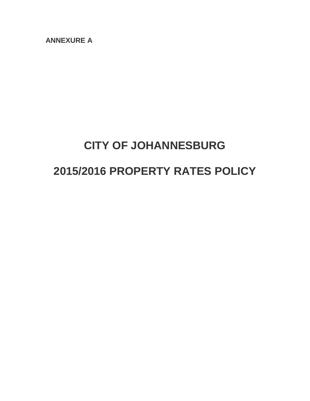**ANNEXURE A**

# **CITY OF JOHANNESBURG**

# **2015/2016 PROPERTY RATES POLICY**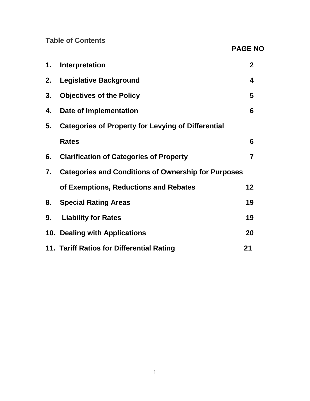**Table of Contents**

**PAGE NO**

| 1. | Interpretation                                             | 2 <sup>1</sup>  |
|----|------------------------------------------------------------|-----------------|
| 2. | <b>Legislative Background</b>                              | 4               |
| 3. | <b>Objectives of the Policy</b>                            | 5               |
| 4. | Date of Implementation                                     | 6               |
| 5. | <b>Categories of Property for Levying of Differential</b>  |                 |
|    | <b>Rates</b>                                               | 6               |
| 6. | <b>Clarification of Categories of Property</b>             | $\overline{7}$  |
| 7. | <b>Categories and Conditions of Ownership for Purposes</b> |                 |
|    | of Exemptions, Reductions and Rebates                      | 12 <sub>2</sub> |
| 8. | <b>Special Rating Areas</b>                                | 19              |
| 9. | <b>Liability for Rates</b>                                 | 19              |
|    | 10. Dealing with Applications                              | 20              |
|    | 11. Tariff Ratios for Differential Rating                  | 21              |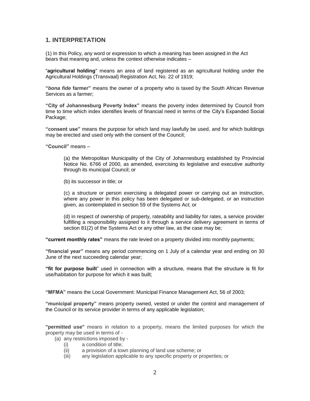# **1. INTERPRETATION**

(1) In this Policy, any word or expression to which a meaning has been assigned in the Act bears that meaning and, unless the context otherwise indicates –

"**agricultural holding**" means an area of land registered as an agricultural holding under the Agricultural Holdings (Transvaal) Registration Act, No. 22 of 1919;

**"***bona fide* **farmer"** means the owner of a property who is taxed by the South African Revenue Services as a farmer;

**"City of Johannesburg Poverty Index"** means the poverty index determined by Council from time to time which index identifies levels of financial need in terms of the City's Expanded Social Package;

**"consent use"** means the purpose for which land may lawfully be used, and for which buildings may be erected and used only with the consent of the Council;

**"Council"** means –

(a) the Metropolitan Municipality of the City of Johannesburg established by Provincial Notice No. 6766 of 2000, as amended, exercising its legislative and executive authority through its municipal Council; or

(b) its successor in title; or

(c) a structure or person exercising a delegated power or carrying out an instruction, where any power in this policy has been delegated or sub-delegated, or an instruction given, as contemplated in section 59 of the Systems Act; or

(d) in respect of ownership of property, rateability and liability for rates, a service provider fulfilling a responsibility assigned to it through a service delivery agreement in terms of section 81(2) of the Systems Act or any other law, as the case may be;

**"current monthly rates"** means the rate levied on a property divided into monthly payments;

**"financial year"** means any period commencing on 1 July of a calendar year and ending on 30 June of the next succeeding calendar year;

**"fit for purpose built**" used in connection with a structure, means that the structure is fit for use/habitation for purpose for which it was built;

**"MFMA"** means the Local Government: Municipal Finance Management Act, 56 of 2003;

**"municipal property"** means property owned, vested or under the control and management of the Council or its service provider in terms of any applicable legislation;

**"permitted use"** means in relation to a property, means the limited purposes for which the property may be used in terms of -

(a) any restrictions imposed by -

- (i) a condition of title;
- (ii) a provision of a town planning of land use scheme; or
- (iii) any legislation applicable to any specific property or properties; or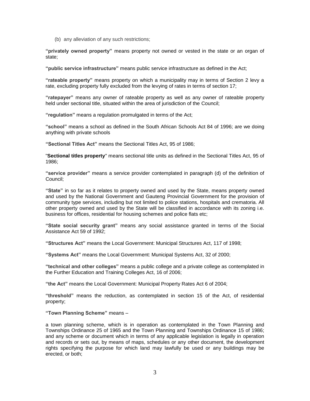(b) any alleviation of any such restrictions;

**"privately owned property"** means property not owned or vested in the state or an organ of state;

**"public service infrastructure"** means public service infrastructure as defined in the Act;

**"rateable property"** means property on which a municipality may in terms of Section 2 levy a rate, excluding property fully excluded from the levying of rates in terms of section 17;

**"ratepayer"** means any owner of rateable property as well as any owner of rateable property held under sectional title, situated within the area of jurisdiction of the Council;

**"regulation"** means a regulation promulgated in terms of the Act;

**"school"** means a school as defined in the South African Schools Act 84 of 1996; are we doing anything with private schools

**"Sectional Titles Act"** means the Sectional Titles Act, 95 of 1986;

"**Sectional titles property**" means sectional title units as defined in the Sectional Titles Act, 95 of 1986;

**"service provider"** means a service provider contemplated in paragraph (d) of the definition of Council;

**"State"** in so far as it relates to property owned and used by the State, means property owned and used by the National Government and Gauteng Provincial Government for the provision of community type services, including but not limited to police stations, hospitals and crematoria. All other property owned and used by the State will be classified in accordance with its zoning i.e. business for offices, residential for housing schemes and police flats etc;

**"State social security grant"** means any social assistance granted in terms of the Social Assistance Act 59 of 1992;

**"Structures Act"** means the Local Government: Municipal Structures Act, 117 of 1998;

**"Systems Act"** means the Local Government: Municipal Systems Act, 32 of 2000;

**"technical and other colleges"** means a public college and a private college as contemplated in the Further Education and Training Colleges Act, 16 of 2006;

**"the Act"** means the Local Government: Municipal Property Rates Act 6 of 2004;

**"threshold"** means the reduction, as contemplated in section 15 of the Act, of residential property;

**"Town Planning Scheme"** means –

a town planning scheme, which is in operation as contemplated in the Town Planning and Townships Ordinance 25 of 1965 and the Town Planning and Townships Ordinance 15 of 1986; and any scheme or document which in terms of any applicable legislation is legally in operation and records or sets out, by means of maps, schedules or any other document, the development rights specifying the purpose for which land may lawfully be used or any buildings may be erected, or both;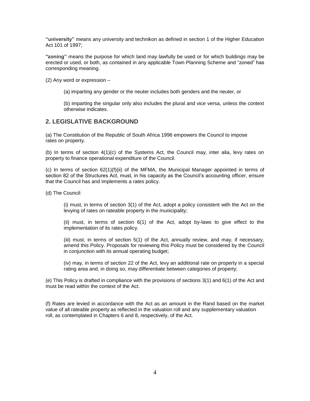**"university"** means any university and technikon as defined in section 1 of the Higher Education Act 101 of 1997;

**"zoning"** means the purpose for which land may lawfully be used or for which buildings may be erected or used, or both, as contained in any applicable Town Planning Scheme and "zoned" has corresponding meaning.

(2) Any word or expression –

(a) imparting any gender or the neuter includes both genders and the neuter, or

(b) imparting the singular only also includes the plural and vice versa, unless the context otherwise indicates.

# **2. LEGISLATIVE BACKGROUND**

(a) The Constitution of the Republic of South Africa 1996 empowers the Council to impose rates on property.

(b) In terms of section 4(1)(c) of the Systems Act, the Council may, inter alia, levy rates on property to finance operational expenditure of the Council.

(c) In terms of section 62(1)(f)(ii) of the MFMA, the Municipal Manager appointed in terms of section 82 of the Structures Act, must, in his capacity as the Council's accounting officer, ensure that the Council has and implements a rates policy.

(d) The Council:

(i) must, in terms of section 3(1) of the Act, adopt a policy consistent with the Act on the levying of rates on rateable property in the municipality;

(ii) must, in terms of section 6(1) of the Act, adopt by-laws to give effect to the implementation of its rates policy.

(iii) must, in terms of section 5(1) of the Act, annually review, and may, if necessary, amend this Policy. Proposals for reviewing this Policy must be considered by the Council in conjunction with its annual operating budget;

(iv) may, in terms of section 22 of the Act, levy an additional rate on property in a special rating area and, in doing so, may differentiate between categories of property;

(e) This Policy is drafted in compliance with the provisions of sections 3(1) and 6(1) of the Act and must be read within the context of the Act.

(f) Rates are levied in accordance with the Act as an amount in the Rand based on the market value of all rateable property as reflected in the valuation roll and any supplementary valuation roll, as contemplated in Chapters 6 and 8, respectively, of the Act.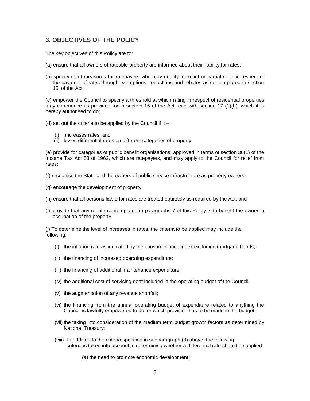# **3. OBJECTIVES OF THE POLICY**

The key objectives of this Policy are to:

- (a) ensure that all owners of rateable property are informed about their liability for rates;
- (b) specify relief measures for ratepayers who may qualify for relief or partial relief in respect of the payment of rates through exemptions, reductions and rebates as contemplated in section 15 of the Act;

(c) empower the Council to specify a threshold at which rating in respect of residential properties may commence as provided for in section 15 of the Act read with section 17 (1)(h), which it is hereby authorised to do;

(d) set out the criteria to be applied by the Council if it  $-$ 

- (i) increases rates; and
- (ii) levies differential rates on different categories of property;

(e) provide for categories of public benefit organisations, approved in terms of section 30(1) of the Income Tax Act 58 of 1962, which are ratepayers, and may apply to the Council for relief from rates;

(f) recognise the State and the owners of public service infrastructure as property owners;

- (g) encourage the development of property;
- (h) ensure that all persons liable for rates are treated equitably as required by the Act; and
- (i) provide that any rebate contemplated in paragraphs 7 of this Policy is to benefit the owner in occupation of the property.

(j) To determine the level of increases in rates, the criteria to be applied may include the following:

- (i) the inflation rate as indicated by the consumer price index excluding mortgage bonds;
- (ii) the financing of increased operating expenditure;
- (iii) the financing of additional maintenance expenditure;
- (iv) the additional cost of servicing debt included in the operating budget of the Council;
- (v) the augmentation of any revenue shortfall;
- (vi) the financing from the annual operating budget of expenditure related to anything the Council is lawfully empowered to do for which provision has to be made in the budget;
- (vii) the taking into consideration of the medium term budget growth factors as determined by National Treasury;
- (viii) In addition to the criteria specified in subparagraph (3) above, the following criteria is taken into account in determining whether a differential rate should be applied:

(a) the need to promote economic development;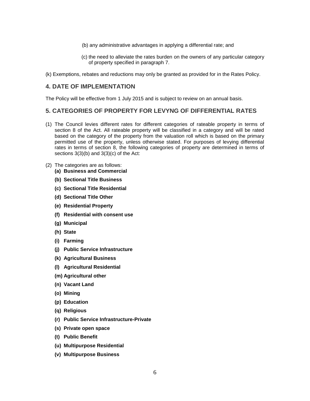- (b) any administrative advantages in applying a differential rate; and
- (c) the need to alleviate the rates burden on the owners of any particular category of property specified in paragraph 7.
- (k) Exemptions, rebates and reductions may only be granted as provided for in the Rates Policy.

## **4. DATE OF IMPLEMENTATION**

The Policy will be effective from 1 July 2015 and is subject to review on an annual basis.

# **5. CATEGORIES OF PROPERTY FOR LEVYNG OF DIFFERENTIAL RATES**

- (1) The Council levies different rates for different categories of rateable property in terms of section 8 of the Act. All rateable property will be classified in a category and will be rated based on the category of the property from the valuation roll which is based on the primary permitted use of the property, unless otherwise stated. For purposes of levying differential rates in terms of section 8, the following categories of property are determined in terms of sections 3(3)(b) and 3(3)(c) of the Act:
- (2) The categories are as follows:
	- **(a) Business and Commercial**
	- **(b) Sectional Title Business**
	- **(c) Sectional Title Residential**
	- **(d) Sectional Title Other**
	- **(e) Residential Property**
	- **(f) Residential with consent use**
	- **(g) Municipal**
	- **(h) State**
	- **(i) Farming**
	- **(j) Public Service Infrastructure**
	- **(k) Agricultural Business**
	- **(l) Agricultural Residential**
	- **(m) Agricultural other**
	- **(n) Vacant Land**
	- **(o) Mining**
	- **(p) Education**
	- **(q) Religious**
	- **(r) Public Service Infrastructure-Private**
	- **(s) Private open space**
	- **(t) Public Benefit**
	- **(u) Multipurpose Residential**
	- **(v) Multipurpose Business**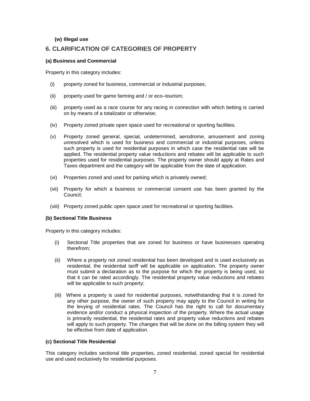#### **(w) Illegal use**

# **6. CLARIFICATION OF CATEGORIES OF PROPERTY**

#### **(a) Business and Commercial**

Property in this category includes:

- (i) property zoned for business, commercial or industrial purposes;
- (ii) property used for game farming and / or eco–tourism;
- (iii) property used as a race course for any racing in connection with which betting is carried on by means of a totalizator or otherwise;
- (iv) Property zoned private open space used for recreational or sporting facilities.
- (v) Property zoned general, special, undetermined, aerodrome, amusement and zoning unresolved which is used for business and commercial or industrial purposes, unless such property is used for residential purposes in which case the residential rate will be applied. The residential property value reductions and rebates will be applicable to such properties used for residential purposes. The property owner should apply at Rates and Taxes department and the category will be applicable from the date of application.
- (vi) Properties zoned and used for parking which is privately owned;
- (vii) Property for which a business or commercial consent use has been granted by the Council;
- (viii) Property zoned public open space used for recreational or sporting facilities.

#### **(b) Sectional Title Business**

Property in this category includes:

- (i) Sectional Title properties that are zoned for business or have businesses operating therefrom;
- (ii) Where a property not zoned residential has been developed and is used exclusively as residential, the residential tariff will be applicable on application. The property owner must submit a declaration as to the purpose for which the property is being used, so that it can be rated accordingly. The residential property value reductions and rebates will be applicable to such property;
- (iii) Where a property is used for residential purposes, notwithstanding that it is zoned for any other purpose, the owner of such property may apply to the Council in writing for the levying of residential rates. The Council has the right to call for documentary evidence and/or conduct a physical inspection of the property. Where the actual usage is primarily residential, the residential rates and property value reductions and rebates will apply to such property. The changes that will be done on the billing system they will be effective from date of application.

#### **(c) Sectional Title Residential**

This category includes sectional title properties, zoned residential, zoned special for residential use and used exclusively for residential purposes.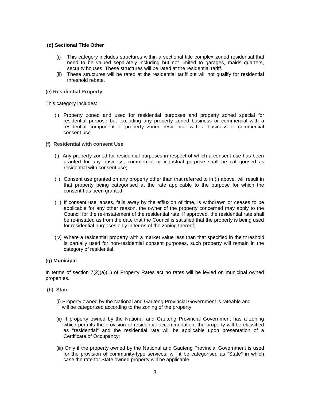#### **(d) Sectional Title Other**

- (i) This category includes structures within a sectional title complex zoned residential that need to be valued separately including but not limited to garages, maids quarters, security houses. These structures will be rated at the residential tariff.
- (ii) These structures will be rated at the residential tariff but will not qualify for residential threshold rebate.

#### **(e) Residential Property**

This category includes:

- (i) Property zoned and used for residential purposes and property zoned special for residential purpose but excluding any property zoned business or commercial with a residential component or property zoned residential with a business or commercial consent use.
- **(f) Residential with consent Use**
	- (i) Any property zoned for residential purposes in respect of which a consent use has been granted for any business, commercial or industrial purpose shall be categorised as residential with consent use;
	- (ii) Consent use granted on any property other than that referred to in (i) above, will result in that property being categorised at the rate applicable to the purpose for which the consent has been granted;
	- (iii) If consent use lapses, falls away by the effluxion of time, is withdrawn or ceases to be applicable for any other reason, the owner of the property concerned may apply to the Council for the re-instatement of the residential rate. If approved, the residential rate shall be re-instated as from the date that the Council is satisfied that the property is being used for residential purposes only in terms of the zoning thereof;
	- (iv) Where a residential property with a market value less than that specified in the threshold is partially used for non-residential consent purposes, such property will remain in the category of residential.

#### **(g) Municipal**

In terms of section  $7(2)(a)(1)$  of Property Rates act no rates will be levied on municipal owned properties.

- **(h) State**
	- (i) Property owned by the National and Gauteng Provincial Government is rateable and will be categorized according to the zoning of the property;
	- (ii) If property owned by the National and Gauteng Provincial Government has a zoning which permits the provision of residential accommodation, the property will be classified as "residential" and the residential rate will be applicable upon presentation of a Certificate of Occupancy;
	- (iii) Only if the property owned by the National and Gauteng Provincial Government is used for the provision of community-type services, will it be categorised as "State" in which case the rate for State owned property will be applicable.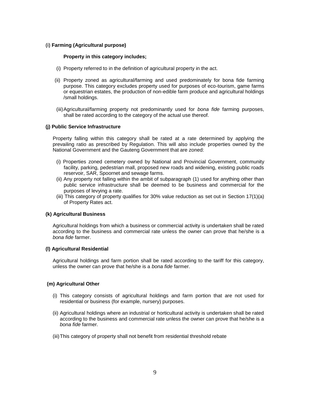#### **(i) Farming (Agricultural purpose)**

#### **Property in this category includes;**

- (i) Property referred to in the definition of agricultural property in the act.
- (ii) Property zoned as agricultural/farming and used predominately for bona fide farming purpose. This category excludes property used for purposes of eco-tourism, game farms or equestrian estates, the production of non-edible farm produce and agricultural holdings /small holdings.
- (iii)Agricultural/farming property not predominantly used for *bona fide* farming purposes, shall be rated according to the category of the actual use thereof.

#### **(j) Public Service Infrastructure**

Property falling within this category shall be rated at a rate determined by applying the prevailing ratio as prescribed by Regulation. This will also include properties owned by the National Government and the Gauteng Government that are zoned:

- (i) Properties zoned cemetery owned by National and Provincial Government, community facility, parking, pedestrian mall, proposed new roads and widening, existing public roads reservoir, SAR, Spoornet and sewage farms.
- (ii) Any property not falling within the ambit of subparagraph (1) used for anything other than public service infrastructure shall be deemed to be business and commercial for the purposes of levying a rate.
- (iii) This category of property qualifies for 30% value reduction as set out in Section 17(1)(a) of Property Rates act.

#### **(k) Agricultural Business**

Agricultural holdings from which a business or commercial activity is undertaken shall be rated according to the business and commercial rate unless the owner can prove that he/she is a *bona fide* farmer.

#### **(l) Agricultural Residential**

Agricultural holdings and farm portion shall be rated according to the tariff for this category, unless the owner can prove that he/she is a *bona fide* farmer.

#### **(m) Agricultural Other**

- (i) This category consists of agricultural holdings and farm portion that are not used for residential or business (for example, nursery) purposes.
- (ii) Agricultural holdings where an industrial or horticultural activity is undertaken shall be rated according to the business and commercial rate unless the owner can prove that he/she is a *bona fide* farmer.
- (iii)This category of property shall not benefit from residential threshold rebate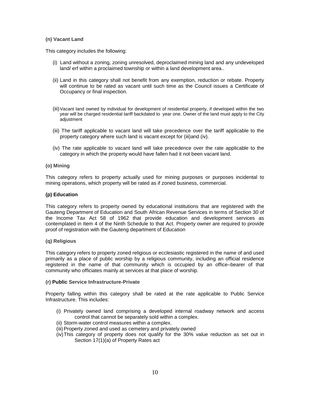#### **(n) Vacant Land**

This category includes the following:

- (i) Land without a zoning, zoning unresolved, deproclaimed mining land and any undeveloped land/ erf within a proclaimed township or within a land development area..
- (ii) Land in this category shall not benefit from any exemption, reduction or rebate. Property will continue to be rated as vacant until such time as the Council issues a Certificate of Occupancy or final inspection.
- (iii)Vacant land owned by individual for development of residential property, if developed within the two year will be charged residential tariff backdated to year one. Owner of the land must apply to the City adjustment
- (iii) The tariff applicable to vacant land will take precedence over the tariff applicable to the property category where such land is vacant except for (iii)and (iv).
- (iv) The rate applicable to vacant land will take precedence over the rate applicable to the category in which the property would have fallen had it not been vacant land.

#### **(o) Mining**

This category refers to property actually used for mining purposes or purposes incidental to mining operations, which property will be rated as if zoned business, commercial.

#### **(p) Education**

This category refers to property owned by educational institutions that are registered with the Gauteng Department of Education and South African Revenue Services in terms of Section 30 of the Income Tax Act 58 of 1962 that provide education and development services as contemplated in Item 4 of the Ninth Schedule to that Act. Property owner are required to provide proof of registration with the Gauteng department of Education

#### **(q) Religious**

This category refers to property zoned religious or ecclesiastic registered in the name of and used primarily as a place of public worship by a religious community, including an official residence registered in the name of that community which is occupied by an office–bearer of that community who officiates mainly at services at that place of worship.

#### **(r) Public Service Infrastructure-Private**

Property falling within this category shall be rated at the rate applicable to Public Service Infrastructure. This includes:

- (i) Privately owned land comprising a developed internal roadway network and access control that cannot be separately sold within a complex.
- (ii) Storm-water control measures within a complex.
- (iii) Property zoned and used as cemetery and privately owned
- (iv)This category of property does not qualify for the 30% value reduction as set out in Section 17(1)(a) of Property Rates act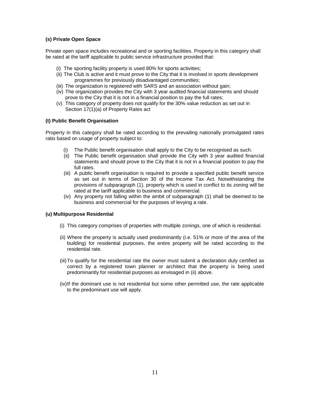## **(s) Private Open Space**

Private open space includes recreational and or sporting facilities. Property in this category shall be rated at the tariff applicable to public service infrastructure provided that:

- (i) The sporting facility property is used 80% for sports activities;
- (ii) The Club is active and it must prove to the City that it is involved in sports development programmes for previously disadvantaged communities;
- (iii) The organization is registered with SARS and an association without gain;
- (iv) The organization provides the City with 3 year audited financial statements and should prove to the City that it is not in a financial position to pay the full rates;
- (v) This category of property does not qualify for the 30% value reduction as set out in Section 17(1)(a) of Property Rates act

#### **(t) Public Benefit Organisation**

Property in this category shall be rated according to the prevailing nationally promulgated rates ratio based on usage of property subject to:

- (i) The Public benefit organisation shall apply to the City to be recognised as such.
- (ii) The Public benefit organisation shall provide the City with 3 year audited financial statements and should prove to the City that it is not in a financial position to pay the full rates.
- (iii) A public benefit organisation is required to provide a specified public benefit service as set out in terms of Section 30 of the Income Tax Act. Notwithstanding the provisions of subparagraph (1), property which is used in conflict to its zoning will be rated at the tariff applicable to business and commercial.
- (iv) Any property not falling within the ambit of subparagraph (1) shall be deemed to be business and commercial for the purposes of levying a rate.

#### **(u) Multipurpose Residential**

- (i) This category comprises of properties with multiple zonings, one of which is residential.
- (ii) Where the property is actually used predominantly (i.e. 51% or more of the area of the building) for residential purposes, the entire property will be rated according to the residential rate.
- (iii)To qualify for the residential rate the owner must submit a declaration duly certified as correct by a registered town planner or architect that the property is being used predominantly for residential purposes as envisaged in (ii) above.
- (iv)If the dominant use is not residential but some other permitted use, the rate applicable to the predominant use will apply.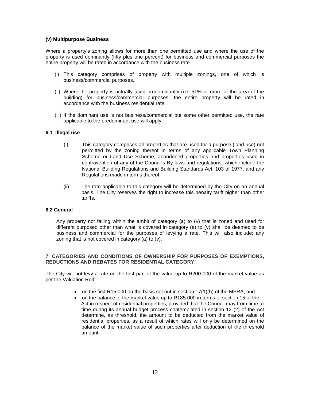#### **(v) Multipurpose Business**

Where a property's zoning allows for more than one permitted use and where the use of the property is used dominantly (fifty plus one percent) for business and commercial purposes the entire property will be rated in accordance with the business rate.

- (i) This category comprises of property with multiple zonings, one of which is business/commercial purposes.
- (ii) Where the property is actually used predominantly (i.e. 51% or more of the area of the building) for business/commercial purposes, the entire property will be rated in accordance with the business residential rate.
- (iii) If the dominant use is not business/commercial but some other permitted use, the rate applicable to the predominant use will apply.

#### **6.1 Illegal use**

- (i) This category comprises all properties that are used for a purpose (land use) not permitted by the zoning thereof in terms of any applicable Town Planning Scheme or Land Use Scheme; abandoned properties and properties used in contravention of any of the Council's By-laws and regulations, which include the National Building Regulations and Building Standards Act, 103 of 1977, and any Regulations made in terms thereof.
- (ii) The rate applicable to this category will be determined by the City on an annual basis. The City reserves the right to increase this penalty tariff higher than other tariffs.

#### **6.2 General**

Any property not falling within the ambit of category (a) to (v) that is zoned and used for different purposed other than what is covered in category (a) to (v) shall be deemed to be business and commercial for the purposes of levying a rate. This will also include; any zoning that is not covered in category (a) to (v).

#### **7. CATEGORIES AND CONDITIONS OF OWNERSHIP FOR PURPOSES OF EXEMPTIONS, REDUCTIONS AND REBATES FOR RESIDENTIAL CATEGORY.**

The City will not levy a rate on the first part of the value up to R200 000 of the market value as per the Valuation Roll:

- on the first R15 000 on the basis set out in section  $17(1)(h)$  of the MPRA; and
- on the balance of the market value up to R185 000 in terms of section 15 of the Act in respect of residential properties, provided that the Council may from time to time during its annual budget process contemplated in section 12 (2) of the Act determine, as threshold, the amount to be deducted from the market value of residential properties, as a result of which rates will only be determined on the balance of the market value of such properties after deduction of the threshold amount.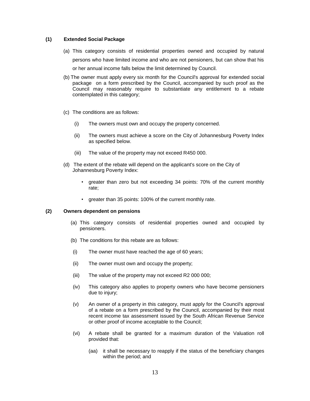#### **(1) Extended Social Package**

- (a) This category consists of residential properties owned and occupied by natural persons who have limited income and who are not pensioners, but can show that his or her annual income falls below the limit determined by Council.
- (b) The owner must apply every six month for the Council's approval for extended social package on a form prescribed by the Council, accompanied by such proof as the Council may reasonably require to substantiate any entitlement to a rebate contemplated in this category;
- (c) The conditions are as follows:
	- (i) The owners must own and occupy the property concerned.
	- (ii) The owners must achieve a score on the City of Johannesburg Poverty Index as specified below.
	- (iii) The value of the property may not exceed R450 000.
- (d) The extent of the rebate will depend on the applicant's score on the City of Johannesburg Poverty Index:
	- greater than zero but not exceeding 34 points: 70% of the current monthly rate;
	- greater than 35 points: 100% of the current monthly rate.

#### **(2) Owners dependent on pensions**

- (a) This category consists of residential properties owned and occupied by pensioners.
- (b) The conditions for this rebate are as follows:
- (i) The owner must have reached the age of 60 years;
- (ii) The owner must own and occupy the property;
- (iii) The value of the property may not exceed R2 000 000;
- (iv) This category also applies to property owners who have become pensioners due to injury;
- (v) An owner of a property in this category, must apply for the Council's approval of a rebate on a form prescribed by the Council, accompanied by their most recent income tax assessment issued by the South African Revenue Service or other proof of income acceptable to the Council;
- (vi) A rebate shall be granted for a maximum duration of the Valuation roll provided that:
	- (aa) it shall be necessary to reapply if the status of the beneficiary changes within the period; and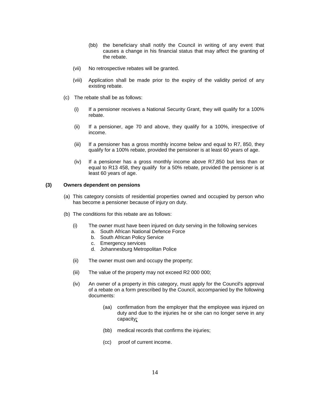- (bb) the beneficiary shall notify the Council in writing of any event that causes a change in his financial status that may affect the granting of the rebate.
- (vii) No retrospective rebates will be granted.
- (viii) Application shall be made prior to the expiry of the validity period of any existing rebate.
- (c) The rebate shall be as follows:
	- (i) If a pensioner receives a National Security Grant, they will qualify for a 100% rebate.
	- (ii) If a pensioner, age 70 and above, they qualify for a 100%, irrespective of income.
	- (iii) If a pensioner has a gross monthly income below and equal to R7, 850, they qualify for a 100% rebate, provided the pensioner is at least 60 years of age.
	- (iv) If a pensioner has a gross monthly income above R7,850 but less than or equal to R13 458, they qualify for a 50% rebate, provided the pensioner is at least 60 years of age.

#### **(3) Owners dependent on pensions**

- (a) This category consists of residential properties owned and occupied by person who has become a pensioner because of injury on duty.
- (b) The conditions for this rebate are as follows:
	- (i) The owner must have been injured on duty serving in the following services a. South African National Defence Force
		- b. South African Policy Service
		- c. Emergency services
		- d. Johannesburg Metropolitan Police
	- (ii) The owner must own and occupy the property;
	- (iii) The value of the property may not exceed R2 000 000;
	- (iv) An owner of a property in this category, must apply for the Council's approval of a rebate on a form prescribed by the Council, accompanied by the following documents:
		- (aa) confirmation from the employer that the employee was injured on duty and due to the injuries he or she can no longer serve in any capacity*;*
		- (bb) medical records that confirms the injuries;
		- (cc) proof of current income.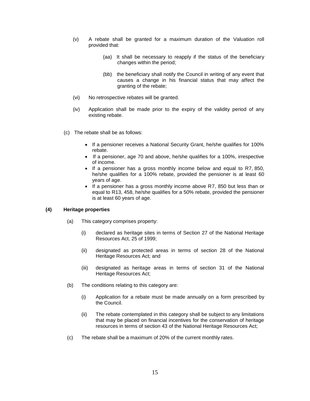- (v) A rebate shall be granted for a maximum duration of the Valuation roll provided that:
	- (aa) It shall be necessary to reapply if the status of the beneficiary changes within the period;
	- (bb) the beneficiary shall notify the Council in writing of any event that causes a change in his financial status that may affect the granting of the rebate;
- (vi) No retrospective rebates will be granted.
- (iv) Application shall be made prior to the expiry of the validity period of any existing rebate.
- (c) The rebate shall be as follows:
	- If a pensioner receives a National Security Grant, he/she qualifies for 100% rebate.
	- If a pensioner, age 70 and above, he/she qualifies for a 100%, irrespective of income.
	- If a pensioner has a gross monthly income below and equal to R7, 850, he/she qualifies for a 100% rebate, provided the pensioner is at least 60 years of age.
	- If a pensioner has a gross monthly income above R7, 850 but less than or equal to R13, 458, he/she qualifies for a 50% rebate, provided the pensioner is at least 60 years of age.

#### **(4) Heritage properties**

- (a) This category comprises property:
	- (i) declared as heritage sites in terms of Section 27 of the National Heritage Resources Act, 25 of 1999;
	- (ii) designated as protected areas in terms of section 28 of the National Heritage Resources Act; and
	- (iii) designated as heritage areas in terms of section 31 of the National Heritage Resources Act;
- (b) The conditions relating to this category are:
	- (i) Application for a rebate must be made annually on a form prescribed by the Council.
	- (ii) The rebate contemplated in this category shall be subject to any limitations that may be placed on financial incentives for the conservation of heritage resources in terms of section 43 of the National Heritage Resources Act;
- (c) The rebate shall be a maximum of 20% of the current monthly rates.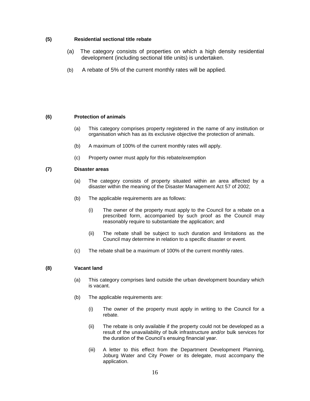#### **(5) Residential sectional title rebate**

- (a) The category consists of properties on which a high density residential development (including sectional title units) is undertaken.
- (b) A rebate of 5% of the current monthly rates will be applied.

#### **(6) Protection of animals**

- (a) This category comprises property registered in the name of any institution or organisation which has as its exclusive objective the protection of animals.
- (b) A maximum of 100% of the current monthly rates will apply.
- (c) Property owner must apply for this rebate/exemption

#### **(7) Disaster areas**

- (a) The category consists of property situated within an area affected by a disaster within the meaning of the Disaster Management Act 57 of 2002;
- (b) The applicable requirements are as follows:
	- (i) The owner of the property must apply to the Council for a rebate on a prescribed form, accompanied by such proof as the Council may reasonably require to substantiate the application; and
	- (ii) The rebate shall be subject to such duration and limitations as the Council may determine in relation to a specific disaster or event.
- (c) The rebate shall be a maximum of 100% of the current monthly rates.

#### **(8) Vacant land**

- (a) This category comprises land outside the urban development boundary which is vacant.
- (b) The applicable requirements are:
	- (i) The owner of the property must apply in writing to the Council for a rebate.
	- (ii) The rebate is only available if the property could not be developed as a result of the unavailability of bulk infrastructure and/or bulk services for the duration of the Council's ensuing financial year.
	- (iii) A letter to this effect from the Department Development Planning, Joburg Water and City Power or its delegate, must accompany the application.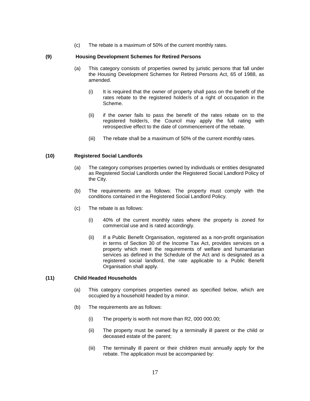(c) The rebate is a maximum of 50% of the current monthly rates.

#### **(9) Housing Development Schemes for Retired Persons**

- (a) This category consists of properties owned by juristic persons that fall under the Housing Development Schemes for Retired Persons Act, 65 of 1988, as amended.
	- (i) It is required that the owner of property shall pass on the benefit of the rates rebate to the registered holder/s of a right of occupation in the Scheme.
	- (ii) if the owner fails to pass the benefit of the rates rebate on to the registered holder/s, the Council may apply the full rating with retrospective effect to the date of commencement of the rebate.
	- (iii) The rebate shall be a maximum of 50% of the current monthly rates.

#### **(10) Registered Social Landlords**

- (a) The category comprises properties owned by individuals or entities designated as Registered Social Landlords under the Registered Social Landlord Policy of the City.
- (b) The requirements are as follows: The property must comply with the conditions contained in the Registered Social Landlord Policy.
- (c) The rebate is as follows:
	- (i) 40% of the current monthly rates where the property is zoned for commercial use and is rated accordingly.
	- (ii) If a Public Benefit Organisation, registered as a non-profit organisation in terms of Section 30 of the Income Tax Act, provides services on a property which meet the requirements of welfare and humanitarian services as defined in the Schedule of the Act and is designated as a registered social landlord, the rate applicable to a Public Benefit Organisation shall apply.

#### **(11) Child Headed Households**

- (a) This category comprises properties owned as specified below, which are occupied by a household headed by a minor.
- (b) The requirements are as follows:
	- (i) The property is worth not more than R2, 000 000.00;
	- (ii) The property must be owned by a terminally ill parent or the child or deceased estate of the parent;
	- (iii) The terminally ill parent or their children must annually apply for the rebate. The application must be accompanied by: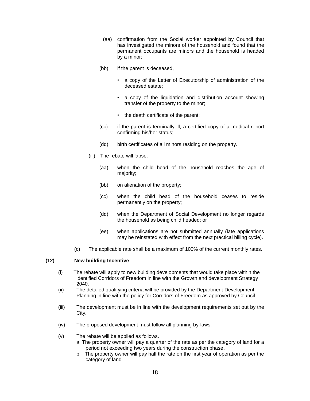- (aa) confirmation from the Social worker appointed by Council that has investigated the minors of the household and found that the permanent occupants are minors and the household is headed by a minor;
- (bb) if the parent is deceased,
	- a copy of the Letter of Executorship of administration of the deceased estate;
	- a copy of the liquidation and distribution account showing transfer of the property to the minor;
	- the death certificate of the parent;
- (cc) if the parent is terminally ill, a certified copy of a medical report confirming his/her status;
- (dd) birth certificates of all minors residing on the property.
- (iii) The rebate will lapse:
	- (aa) when the child head of the household reaches the age of majority;
	- (bb) on alienation of the property;
	- (cc) when the child head of the household ceases to reside permanently on the property;
	- (dd) when the Department of Social Development no longer regards the household as being child headed; or
	- (ee) when applications are not submitted annually (late applications may be reinstated with effect from the next practical billing cycle).
- (c) The applicable rate shall be a maximum of 100% of the current monthly rates.

#### **(12) New building Incentive**

- (i) The rebate will apply to new building developments that would take place within the identified Corridors of Freedom in line with the Growth and development Strategy 2040.
- (ii) The detailed qualifying criteria will be provided by the Department Development Planning in line with the policy for Corridors of Freedom as approved by Council.
- (iii) The development must be in line with the development requirements set out by the City.
- (iv) The proposed development must follow all planning by-laws.
- (v) The rebate will be applied as follows.
	- a. The property owner will pay a quarter of the rate as per the category of land for a period not exceeding two years during the construction phase.
	- b. The property owner will pay half the rate on the first year of operation as per the category of land.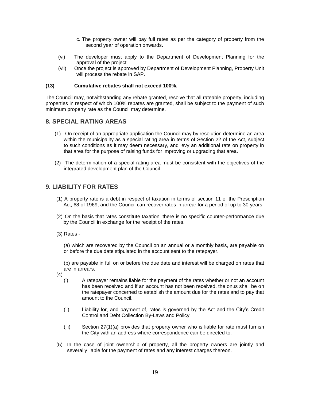- c. The property owner will pay full rates as per the category of property from the second year of operation onwards.
- (vi) The developer must apply to the Department of Development Planning for the approval of the project
- (vii) Once the project is approved by Department of Development Planning, Property Unit will process the rebate in SAP.

#### **(13) Cumulative rebates shall not exceed 100%.**

The Council may, notwithstanding any rebate granted, resolve that all rateable property, including properties in respect of which 100% rebates are granted, shall be subject to the payment of such minimum property rate as the Council may determine.

# **8. SPECIAL RATING AREAS**

- (1) On receipt of an appropriate application the Council may by resolution determine an area within the municipality as a special rating area in terms of Section 22 of the Act, subject to such conditions as it may deem necessary, and levy an additional rate on property in that area for the purpose of raising funds for improving or upgrading that area.
- (2) The determination of a special rating area must be consistent with the objectives of the integrated development plan of the Council.

# **9. LIABILITY FOR RATES**

- (1) A property rate is a debt in respect of taxation in terms of section 11 of the Prescription Act, 68 of 1969, and the Council can recover rates in arrear for a period of up to 30 years.
- (2) On the basis that rates constitute taxation, there is no specific counter-performance due by the Council in exchange for the receipt of the rates.
- (3) Rates -

(a) which are recovered by the Council on an annual or a monthly basis, are payable on or before the due date stipulated in the account sent to the ratepayer.

(b) are payable in full on or before the due date and interest will be charged on rates that are in arrears.

- (4)
	- (i) A ratepayer remains liable for the payment of the rates whether or not an account has been received and if an account has not been received, the onus shall be on the ratepayer concerned to establish the amount due for the rates and to pay that amount to the Council.
	- (ii) Liability for, and payment of, rates is governed by the Act and the City's Credit Control and Debt Collection By-Laws and Policy.
	- (iii) Section 27(1)(a) provides that property owner who is liable for rate must furnish the City with an address where correspondence can be directed to.
- (5) In the case of joint ownership of property, all the property owners are jointly and severally liable for the payment of rates and any interest charges thereon.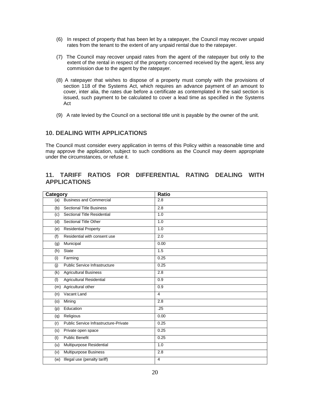- (6) In respect of property that has been let by a ratepayer, the Council may recover unpaid rates from the tenant to the extent of any unpaid rental due to the ratepayer.
- (7) The Council may recover unpaid rates from the agent of the ratepayer but only to the extent of the rental in respect of the property concerned received by the agent, less any commission due to the agent by the ratepayer.
- (8) A ratepayer that wishes to dispose of a property must comply with the provisions of section 118 of the Systems Act, which requires an advance payment of an amount to cover, inter alia, the rates due before a certificate as contemplated in the said section is issued, such payment to be calculated to cover a lead time as specified in the Systems Act
- (9) A rate levied by the Council on a sectional title unit is payable by the owner of the unit.

# **10. DEALING WITH APPLICATIONS**

The Council must consider every application in terms of this Policy within a reasonable time and may approve the application, subject to such conditions as the Council may deem appropriate under the circumstances, or refuse it.

# **11. TARIFF RATIOS FOR DIFFERENTIAL RATING DEALING WITH APPLICATIONS**

| Category                                                   | Ratio            |  |  |  |
|------------------------------------------------------------|------------------|--|--|--|
| <b>Business and Commercial</b><br>(a)                      | 2.8              |  |  |  |
| <b>Sectional Title Business</b><br>(b)                     | 2.8              |  |  |  |
| Sectional Title Residential<br>(c)                         | 1.0              |  |  |  |
| Sectional Title Other<br>(d)                               | 1.0              |  |  |  |
| <b>Residential Property</b><br>(e)                         | 1.0              |  |  |  |
| Residential with consent use<br>(f)                        | 2.0              |  |  |  |
| Municipal<br>(g)                                           | 0.00             |  |  |  |
| <b>State</b><br>(h)                                        | $\overline{1.5}$ |  |  |  |
| (i)<br>Farming                                             | 0.25             |  |  |  |
| Public Service Infrastructure<br>$\overline{(\mathbf{j})}$ | 0.25             |  |  |  |
| <b>Agricultural Business</b><br>(k)                        | 2.8              |  |  |  |
| Agricultural Residential<br>(1)                            | 0.9              |  |  |  |
| Agricultural other<br>(m)                                  | 0.9              |  |  |  |
| Vacant Land<br>(n)                                         | $\overline{4}$   |  |  |  |
| Mining<br>(o)                                              | 2.8              |  |  |  |
| Education<br>(p)                                           | .25              |  |  |  |
| Religious<br>(q)                                           | 0.00             |  |  |  |
| Public Service Infrastructure-Private<br>(r)               | 0.25             |  |  |  |
| (s)<br>Private open space                                  | 0.25             |  |  |  |
| <b>Public Benefit</b><br>(t)                               | 0.25             |  |  |  |
| Multipurpose Residential<br>(u)                            | $\overline{1.0}$ |  |  |  |
| Multipurpose Business<br>(v)                               | 2.8              |  |  |  |
| Illegal use (penalty tariff)<br>(w)                        | $\overline{4}$   |  |  |  |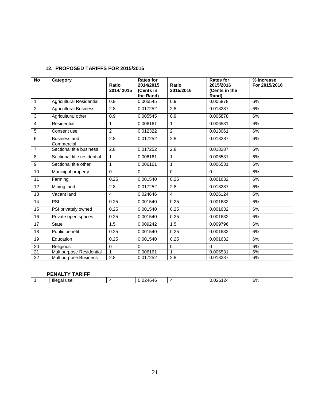| <b>No</b>       | Category                          | Ratio<br>2014/2015 | <b>Rates for</b><br>2014/2015<br>(Cents in<br>the Rand) | Ratio<br>2015/2016 | <b>Rates for</b><br>2015/2016<br>(Cents in the<br>Rand) | % Increase<br>For 2015/2016 |
|-----------------|-----------------------------------|--------------------|---------------------------------------------------------|--------------------|---------------------------------------------------------|-----------------------------|
| $\mathbf{1}$    | <b>Agricultural Residential</b>   | 0.9                | 0.005545                                                | 0.9                | 0.005878                                                | 6%                          |
| $\overline{c}$  | <b>Agricultural Business</b>      | 2.8                | 0.017252                                                | 2.8                | 0.018287                                                | 6%                          |
| 3               | Agricultural other                | 0.9                | 0.005545                                                | 0.9                | 0.005878                                                | 6%                          |
| $\overline{4}$  | Residential                       | 1                  | 0.006161                                                | $\mathbf{1}$       | 0.006531                                                | 6%                          |
| 5               | Consent use                       | $\overline{2}$     | 0.012322                                                | $\overline{2}$     | 0.013061                                                | 6%                          |
| 6               | <b>Business and</b><br>Commercial | 2.8                | 0.017252                                                | 2.8                | 0.018287                                                | 6%                          |
| $\overline{7}$  | Sectional title business          | 2.8                | 0.017252                                                | 2.8                | 0.018287                                                | 6%                          |
| $\overline{8}$  | Sectional title residential       | $\mathbf{1}$       | 0.006161                                                | $\mathbf{1}$       | 0.006531                                                | 6%                          |
| $\overline{9}$  | Sectional title other             | $\mathbf{1}$       | 0.006161                                                | $\mathbf{1}$       | 0.006531                                                | 6%                          |
| 10              | Municipal property                | $\Omega$           | $\Omega$                                                | $\Omega$           | $\Omega$                                                | 6%                          |
| 11              | Farming                           | 0.25               | 0.001540                                                | 0.25               | 0.001632                                                | 6%                          |
| 12              | Mining land                       | 2.8                | 0.017252                                                | 2.8                | 0.018287                                                | 6%                          |
| 13              | Vacant land                       | $\overline{4}$     | 0.024646                                                | $\overline{4}$     | 0.026124                                                | 6%                          |
| 14              | PSI                               | 0.25               | 0.001540                                                | 0.25               | 0.001632                                                | 6%                          |
| 15              | PSI privately owned               | 0.25               | 0.001540                                                | 0.25               | 0.001632                                                | 6%                          |
| 16              | Private open spaces               | 0.25               | 0.001540                                                | 0.25               | 0.001632                                                | 6%                          |
| $\overline{17}$ | <b>State</b>                      | 1.5                | 0.009242                                                | 1.5                | 0.009796                                                | 6%                          |
| 18              | Public benefit                    | 0.25               | 0.001540                                                | 0.25               | 0.001632                                                | 6%                          |
| 19              | Education                         | 0.25               | 0.001540                                                | 0.25               | 0.001632                                                | 6%                          |
| 20              | <b>Religious</b>                  | 0                  | $\Omega$                                                | 0                  | 0                                                       | 6%                          |
| $\overline{21}$ | Multipurpose Residential          |                    | 0.006161                                                | $\mathbf{1}$       | 0.006531                                                | 6%                          |
| $\overline{22}$ | Multipurpose Business             | 2.8                | 0.017252                                                | 2.8                | 0.018287                                                | 6%                          |

| <b>PENALTY TARIFF</b> |                |  |                       |    |   |    |
|-----------------------|----------------|--|-----------------------|----|---|----|
|                       | Illegal<br>use |  | 24646<br>ົດຕ<br>∪.∪∠' | ,, | . | 6% |